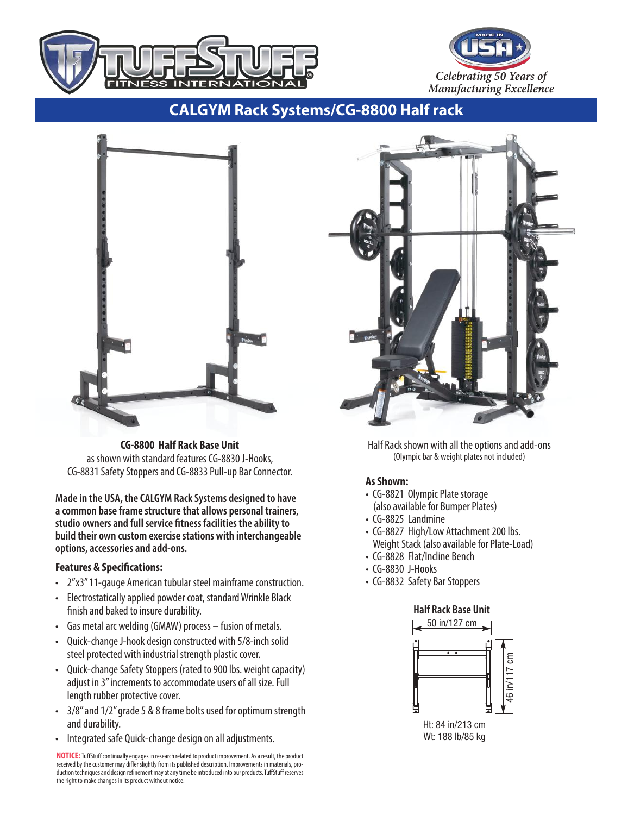



**CALGYM Rack Systems/CG-8800 Half rack**



**CG-8800 Half Rack Base Unit** as shown with standard features CG-8830 J-Hooks, CG-8831 Safety Stoppers and CG-8833 Pull-up Bar Connector.

**Madein the USA, theCALGYM RackSystems designed to have acommon baseframestructurethatallows personal trainers, studio ownersand full service fitness facilities theabilityto build their own customexercisestations with interchangeable options,accessoriesand add-ons.**

## **Features & Specifications:**

- 2"x3"11-gauge American tubular steel mainframe construction.
- Electrostatically applied powder coat, standard Wrinkle Black finish and baked to insure durability.
- Gas metal arc welding (GMAW) process fusion of metals.
- Ouick-change J-hook design constructed with 5/8-inch solid steel protected with industrial strength plastic cover.
- Quick-change Safety Stoppers (rated to 900 lbs. weight capacity) adjust in 3" increments to accommodate users of all size. Full length rubber protective cover.
- 3/8" and 1/2" grade 5 & 8 frame bolts used for optimum strength and durability.
- Integrated safe Quick-change design on all adjustments.

<mark>NOTICE:</mark> TuffStuff continually engages in research related to product improvement. As a result, the product<br>received by the customer may differ slightly from its published description. Improvements in materials, production techniquesanddesign refinementmayatanytimebeintroducedintoourproducts.TuffStuff reserves the right to make changes in its product without notice.



Half Rack shown with all the options and add-ons (Olympic bar & weight plates not included)

## **AsShown:**

- CG-8821 Olympic Plate storage (also available for Bumper Plates)
- CG-8825 Landmine
- CG-8827 High/Low Attachment 200 lbs. Weight Stack (also available for Plate-Load)
- CG-8828 Flat/Incline Bench
- CG-8830 J-Hooks
- CG-8832 Safety Bar Stoppers

## **Half Rack Base Unit**



Wt: 188 lb/85 kg